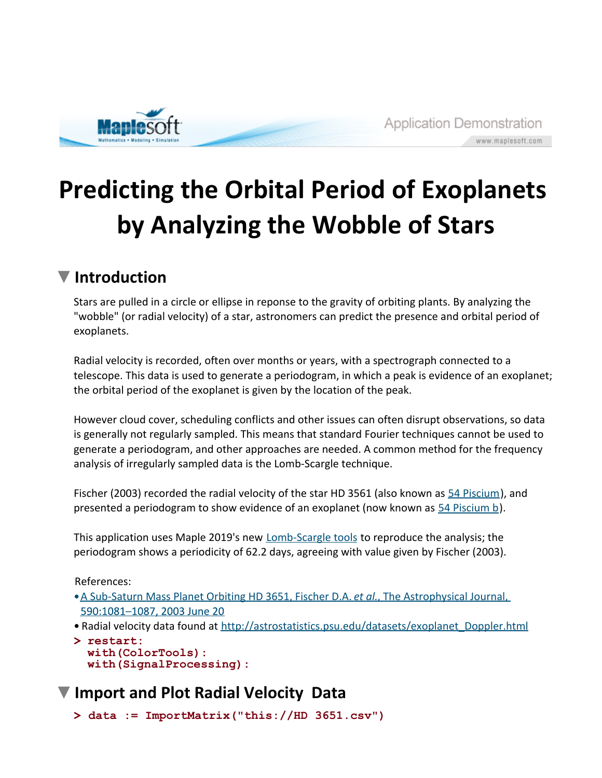

## **Predicting the Orbital Period of Exoplanets by Analyzing the Wobble of Stars**

## **Introduction**

Stars are pulled in a circle or ellipse in reponse to the gravity of orbiting plants. By analyzing the "wobble" (or radial velocity) of a star, astronomers can predict the presence and orbital period of exoplanets.

Radial velocity is recorded, often over months or years, with a spectrograph connected to a telescope. This data is used to generate a periodogram, in which a peak is evidence of an exoplanet; the orbital period of the exoplanet is given by the location of the peak.

However cloud cover, scheduling conflicts and other issues can often disrupt observations, so data is generally not regularly sampled. This means that standard Fourier techniques cannot be used to generate a periodogram, and other approaches are needed. A common method for the frequency analysis of irregularly sampled data is the Lomb-Scargle technique.

Fischer (2003) recorded the radial velocity of the star HD 3561 (also known as 54 Piscium), and presented a periodogram to show evidence of an exoplanet (now known as 54 Piscium b).

This application uses Maple 2019's new **Lomb-Scargle tools** to reproduce the analysis; the periodogram shows a periodicity of 62.2 days, agreeing with value given by Fischer (2003).

References:

- A Sub-Saturn Mass Planet Orbiting HD 3651, Fischer D.A. *et al.*, The Astrophysical Journal, 590:1081-1087, 2003 June 20
- Radial velocity data found at http://astrostatistics.psu.edu/datasets/exoplanet\_Doppler.html
- **> restart: with(ColorTools): with(SignalProcessing):**

## **Import and Plot Radial Velocity Data**

```
> 
data := ImportMatrix("this://HD 3651.csv")
```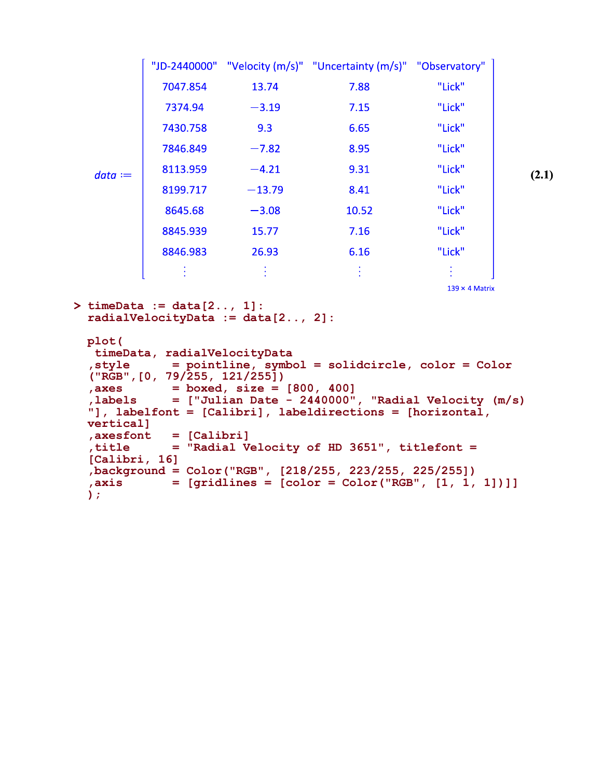|           |          |          | "JD-2440000" "Velocity (m/s)" "Uncertainty (m/s)" "Observatory" |        |  |
|-----------|----------|----------|-----------------------------------------------------------------|--------|--|
| $data :=$ | 7047.854 | 13.74    | 7.88                                                            | "Lick" |  |
|           | 7374.94  | $-3.19$  | 7.15                                                            | "Lick" |  |
|           | 7430.758 | 9.3      | 6.65                                                            | "Lick" |  |
|           | 7846.849 | $-7.82$  | 8.95                                                            | "Lick" |  |
|           | 8113.959 | $-4.21$  | 9.31                                                            | "Lick" |  |
|           | 8199.717 | $-13.79$ | 8.41                                                            | "Lick" |  |
|           | 8645.68  | $-3.08$  | 10.52                                                           | "Lick" |  |
|           | 8845.939 | 15.77    | 7.16                                                            | "Lick" |  |
|           | 8846.983 | 26.93    | 6.16                                                            | "Lick" |  |
|           |          |          |                                                                 |        |  |

 $139 \times 4$  Matrix

```
> timeData := data[2.., 1]:
  radialVelocityData := data[2.., 2]:
```

```
plot(
 timeData, radialVelocityData 
,style = pointline, symbol = solidcircle, color = Color
("RGB",[0, 79/255, 121/255])
           = boxed, size = [800, 400],labels = ["Julian Date - 2440000", "Radial Velocity (m/s)
"], labelfont = [Calibri], labeldirections = [horizontal, 
vertical]
,axesfont = [Calibri]
,title = "Radial Velocity of HD 3651", titlefont = 
[Calibri, 16]
,background = Color("RGB", [218/255, 223/255, 225/255])
,axis = [gridlines = [color = Color("RGB", [1, 1, 1])]]
);
```
**(2.1)**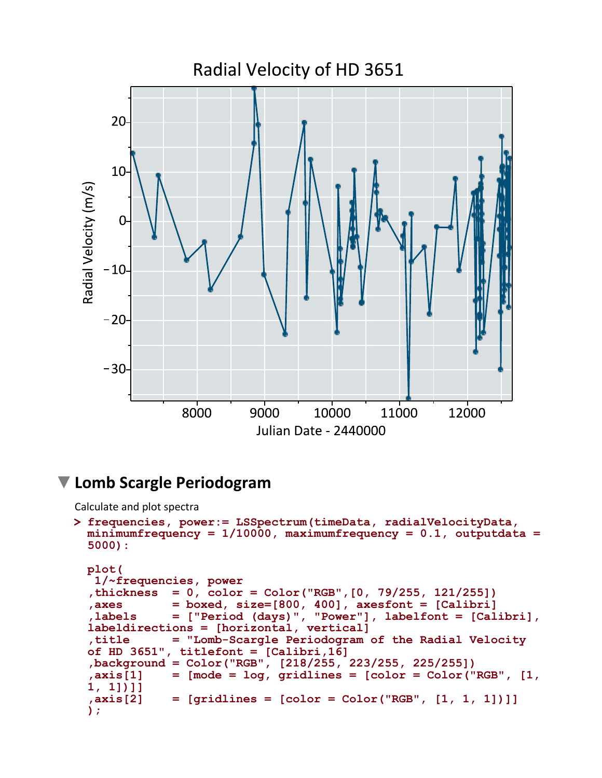

## **Lomb Scargle Periodogram**

Calculate and plot spectra

```
> 
frequencies, power:= LSSpectrum(timeData, radialVelocityData, 
 minimumfrequency = 1/10000, maximumfrequency = 0.1, outputdata =
 5000):
 plot(
```

```
 1/~frequencies, power
,thickness = 0, color = Color("RGB",[0, 79/255, 121/255])
,axes = boxed, size=[800, 400], axesfont = [Calibri]
             ,labels = ["Period (days)", "Power"], labelfont = [Calibri],
labeldirections = [horizontal, vertical]
,title = "Lomb-Scargle Periodogram of the Radial Velocity 
of HD 3651", titlefont = [Calibri,16]
,background = Color("RGB", [218/255, 223/255, 225/255])
\text{axis}[1] = [\text{mode} = \text{log}, \text{gridlines} = [\text{color} = \text{Color}("RGB", [1, \text{log}])1, 1])]]
             = [gridlines = [color = Color("RGB", [1, 1, 1])]]
);
```